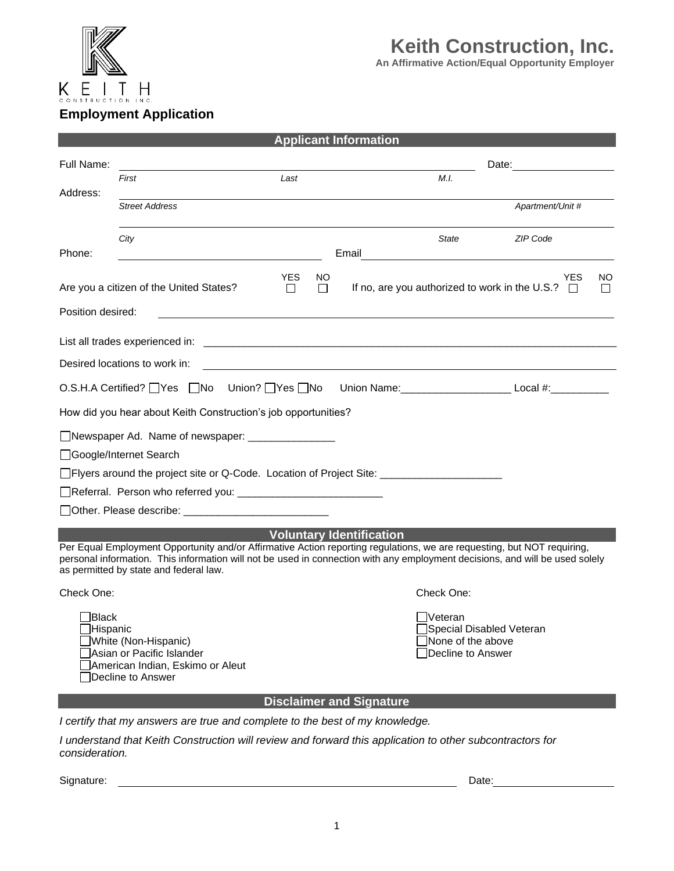

## **Keith Construction, Inc.**

**An Affirmative Action/Equal Opportunity Employer**

## **Employment Application**

| <b>Applicant Information</b>                                                                                                                                                                                                                                                                                                         |                                                                |      |       |                                                                                                                  |                  |  |  |  |
|--------------------------------------------------------------------------------------------------------------------------------------------------------------------------------------------------------------------------------------------------------------------------------------------------------------------------------------|----------------------------------------------------------------|------|-------|------------------------------------------------------------------------------------------------------------------|------------------|--|--|--|
| Full Name:                                                                                                                                                                                                                                                                                                                           |                                                                |      |       | Date: <u>_______</u>                                                                                             |                  |  |  |  |
|                                                                                                                                                                                                                                                                                                                                      | First                                                          | Last |       | M.I.                                                                                                             |                  |  |  |  |
| Address:                                                                                                                                                                                                                                                                                                                             | <b>Street Address</b>                                          |      |       |                                                                                                                  | Apartment/Unit # |  |  |  |
| Phone:                                                                                                                                                                                                                                                                                                                               | City                                                           |      | Email | <b>State</b>                                                                                                     | ZIP Code         |  |  |  |
|                                                                                                                                                                                                                                                                                                                                      |                                                                |      |       |                                                                                                                  |                  |  |  |  |
| <b>YES</b><br>YES.<br>NO.<br>NO.<br>Are you a citizen of the United States?<br>If no, are you authorized to work in the U.S.? $\square$<br>$\Box$<br>$\Box$<br>$\Box$                                                                                                                                                                |                                                                |      |       |                                                                                                                  |                  |  |  |  |
| Position desired:                                                                                                                                                                                                                                                                                                                    |                                                                |      |       |                                                                                                                  |                  |  |  |  |
|                                                                                                                                                                                                                                                                                                                                      | List all trades experienced in:                                |      |       | and the control of the control of the control of the control of the control of the control of the control of the |                  |  |  |  |
|                                                                                                                                                                                                                                                                                                                                      | Desired locations to work in:                                  |      |       |                                                                                                                  |                  |  |  |  |
| Union? □Yes □No<br>O.S.H.A Certified? $\Box$ Yes $\Box$ No<br>Union Name: __________________________________ Local #:_________________________                                                                                                                                                                                       |                                                                |      |       |                                                                                                                  |                  |  |  |  |
|                                                                                                                                                                                                                                                                                                                                      | How did you hear about Keith Construction's job opportunities? |      |       |                                                                                                                  |                  |  |  |  |
|                                                                                                                                                                                                                                                                                                                                      | Newspaper Ad. Name of newspaper: _________________             |      |       |                                                                                                                  |                  |  |  |  |
|                                                                                                                                                                                                                                                                                                                                      | □Google/Internet Search                                        |      |       |                                                                                                                  |                  |  |  |  |
|                                                                                                                                                                                                                                                                                                                                      |                                                                |      |       |                                                                                                                  |                  |  |  |  |
|                                                                                                                                                                                                                                                                                                                                      |                                                                |      |       |                                                                                                                  |                  |  |  |  |
|                                                                                                                                                                                                                                                                                                                                      |                                                                |      |       |                                                                                                                  |                  |  |  |  |
| <b>Voluntary Identification</b><br>Per Equal Employment Opportunity and/or Affirmative Action reporting regulations, we are requesting, but NOT requiring,<br>personal information. This information will not be used in connection with any employment decisions, and will be used solely<br>as permitted by state and federal law. |                                                                |      |       |                                                                                                                  |                  |  |  |  |
| Check One:                                                                                                                                                                                                                                                                                                                           |                                                                |      |       | Check One:                                                                                                       |                  |  |  |  |
| <b>Black</b><br>JHispanic<br>White (Non-Hispanic)<br>Asian or Pacific Islander<br>American Indian, Eskimo or Aleut<br>Decline to Answer                                                                                                                                                                                              |                                                                |      |       | <b>Veteran</b><br>Special Disabled Veteran<br>None of the above<br>Decline to Answer                             |                  |  |  |  |
| <b>Disclaimer and Signature</b>                                                                                                                                                                                                                                                                                                      |                                                                |      |       |                                                                                                                  |                  |  |  |  |
| I certify that my answers are true and complete to the best of my knowledge.                                                                                                                                                                                                                                                         |                                                                |      |       |                                                                                                                  |                  |  |  |  |
| I understand that Keith Construction will review and forward this application to other subcontractors for<br>consideration.                                                                                                                                                                                                          |                                                                |      |       |                                                                                                                  |                  |  |  |  |

Signature: Date: